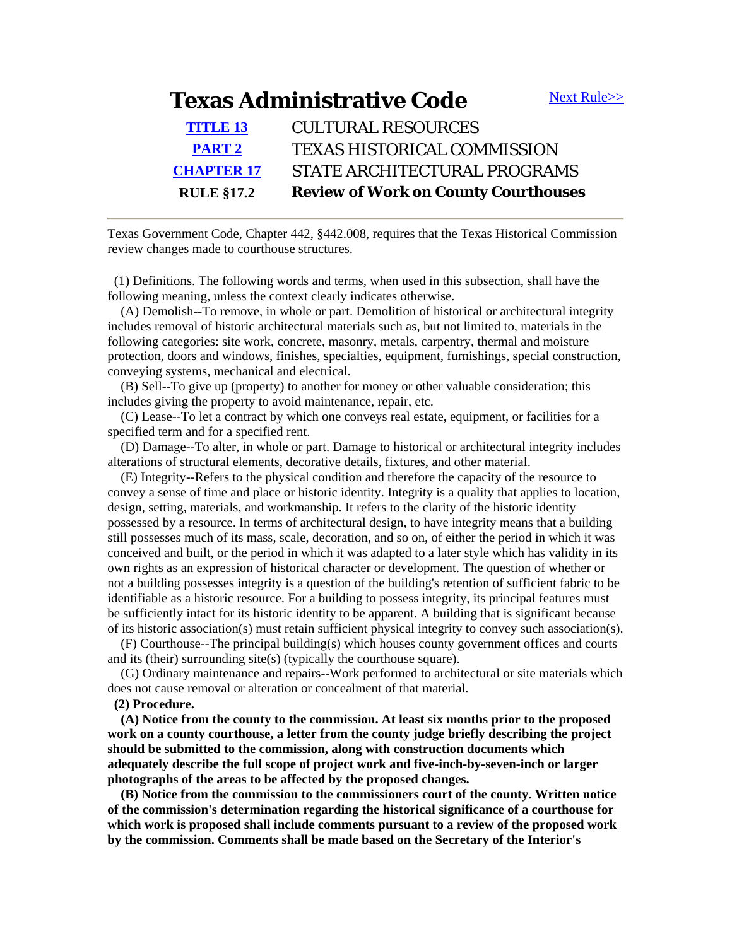## **Texas Administrative Code** [Next Rule>>](http://info.sos.state.tx.us/pls/pub/readtac$ext.TacPage?sl=T&app=9&p_dir=N&p_rloc=27481&p_tloc=&p_ploc=1&pg=2&p_tac=&ti=13&pt=2&ch=17&rl=2)

| <b>RULE §17.2</b> | <b>Review of Work on County Courthouses</b> |
|-------------------|---------------------------------------------|
| <b>CHAPTER 17</b> | STATE ARCHITECTURAL PROGRAMS                |
| <b>PART 2</b>     | <b>TEXAS HISTORICAL COMMISSION</b>          |
| <b>TITLE 13</b>   | <b>CULTURAL RESOURCES</b>                   |
|                   |                                             |

Texas Government Code, Chapter 442, §442.008, requires that the Texas Historical Commission review changes made to courthouse structures.

 (1) Definitions. The following words and terms, when used in this subsection, shall have the following meaning, unless the context clearly indicates otherwise.

 (A) Demolish--To remove, in whole or part. Demolition of historical or architectural integrity includes removal of historic architectural materials such as, but not limited to, materials in the following categories: site work, concrete, masonry, metals, carpentry, thermal and moisture protection, doors and windows, finishes, specialties, equipment, furnishings, special construction, conveying systems, mechanical and electrical.

 (B) Sell--To give up (property) to another for money or other valuable consideration; this includes giving the property to avoid maintenance, repair, etc.

 (C) Lease--To let a contract by which one conveys real estate, equipment, or facilities for a specified term and for a specified rent.

 (D) Damage--To alter, in whole or part. Damage to historical or architectural integrity includes alterations of structural elements, decorative details, fixtures, and other material.

 (E) Integrity--Refers to the physical condition and therefore the capacity of the resource to convey a sense of time and place or historic identity. Integrity is a quality that applies to location, design, setting, materials, and workmanship. It refers to the clarity of the historic identity possessed by a resource. In terms of architectural design, to have integrity means that a building still possesses much of its mass, scale, decoration, and so on, of either the period in which it was conceived and built, or the period in which it was adapted to a later style which has validity in its own rights as an expression of historical character or development. The question of whether or not a building possesses integrity is a question of the building's retention of sufficient fabric to be identifiable as a historic resource. For a building to possess integrity, its principal features must be sufficiently intact for its historic identity to be apparent. A building that is significant because of its historic association(s) must retain sufficient physical integrity to convey such association(s).

 (F) Courthouse--The principal building(s) which houses county government offices and courts and its (their) surrounding site(s) (typically the courthouse square).

 (G) Ordinary maintenance and repairs--Work performed to architectural or site materials which does not cause removal or alteration or concealment of that material.

## **(2) Procedure.**

 **(A) Notice from the county to the commission. At least six months prior to the proposed work on a county courthouse, a letter from the county judge briefly describing the project should be submitted to the commission, along with construction documents which adequately describe the full scope of project work and five-inch-by-seven-inch or larger photographs of the areas to be affected by the proposed changes.** 

 **(B) Notice from the commission to the commissioners court of the county. Written notice of the commission's determination regarding the historical significance of a courthouse for which work is proposed shall include comments pursuant to a review of the proposed work by the commission. Comments shall be made based on the Secretary of the Interior's**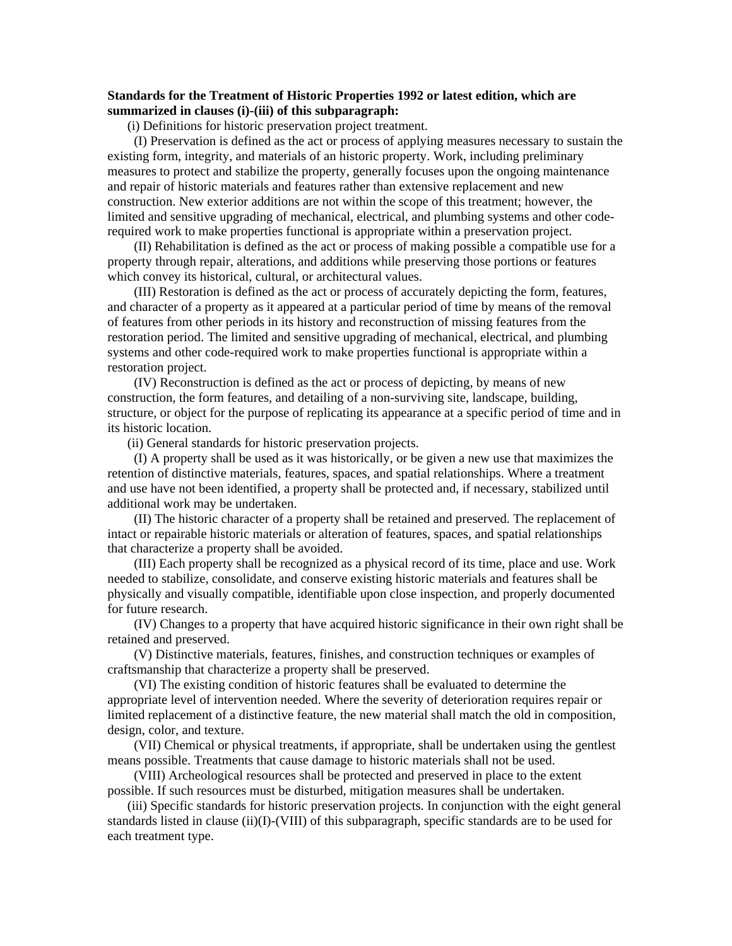## **Standards for the Treatment of Historic Properties 1992 or latest edition, which are summarized in clauses (i)-(iii) of this subparagraph:**

(i) Definitions for historic preservation project treatment.

 (I) Preservation is defined as the act or process of applying measures necessary to sustain the existing form, integrity, and materials of an historic property. Work, including preliminary measures to protect and stabilize the property, generally focuses upon the ongoing maintenance and repair of historic materials and features rather than extensive replacement and new construction. New exterior additions are not within the scope of this treatment; however, the limited and sensitive upgrading of mechanical, electrical, and plumbing systems and other coderequired work to make properties functional is appropriate within a preservation project.

 (II) Rehabilitation is defined as the act or process of making possible a compatible use for a property through repair, alterations, and additions while preserving those portions or features which convey its historical, cultural, or architectural values.

 (III) Restoration is defined as the act or process of accurately depicting the form, features, and character of a property as it appeared at a particular period of time by means of the removal of features from other periods in its history and reconstruction of missing features from the restoration period. The limited and sensitive upgrading of mechanical, electrical, and plumbing systems and other code-required work to make properties functional is appropriate within a restoration project.

 (IV) Reconstruction is defined as the act or process of depicting, by means of new construction, the form features, and detailing of a non-surviving site, landscape, building, structure, or object for the purpose of replicating its appearance at a specific period of time and in its historic location.

(ii) General standards for historic preservation projects.

 (I) A property shall be used as it was historically, or be given a new use that maximizes the retention of distinctive materials, features, spaces, and spatial relationships. Where a treatment and use have not been identified, a property shall be protected and, if necessary, stabilized until additional work may be undertaken.

 (II) The historic character of a property shall be retained and preserved. The replacement of intact or repairable historic materials or alteration of features, spaces, and spatial relationships that characterize a property shall be avoided.

 (III) Each property shall be recognized as a physical record of its time, place and use. Work needed to stabilize, consolidate, and conserve existing historic materials and features shall be physically and visually compatible, identifiable upon close inspection, and properly documented for future research.

 (IV) Changes to a property that have acquired historic significance in their own right shall be retained and preserved.

 (V) Distinctive materials, features, finishes, and construction techniques or examples of craftsmanship that characterize a property shall be preserved.

 (VI) The existing condition of historic features shall be evaluated to determine the appropriate level of intervention needed. Where the severity of deterioration requires repair or limited replacement of a distinctive feature, the new material shall match the old in composition, design, color, and texture.

 (VII) Chemical or physical treatments, if appropriate, shall be undertaken using the gentlest means possible. Treatments that cause damage to historic materials shall not be used.

 (VIII) Archeological resources shall be protected and preserved in place to the extent possible. If such resources must be disturbed, mitigation measures shall be undertaken.

 (iii) Specific standards for historic preservation projects. In conjunction with the eight general standards listed in clause (ii)(I)-(VIII) of this subparagraph, specific standards are to be used for each treatment type.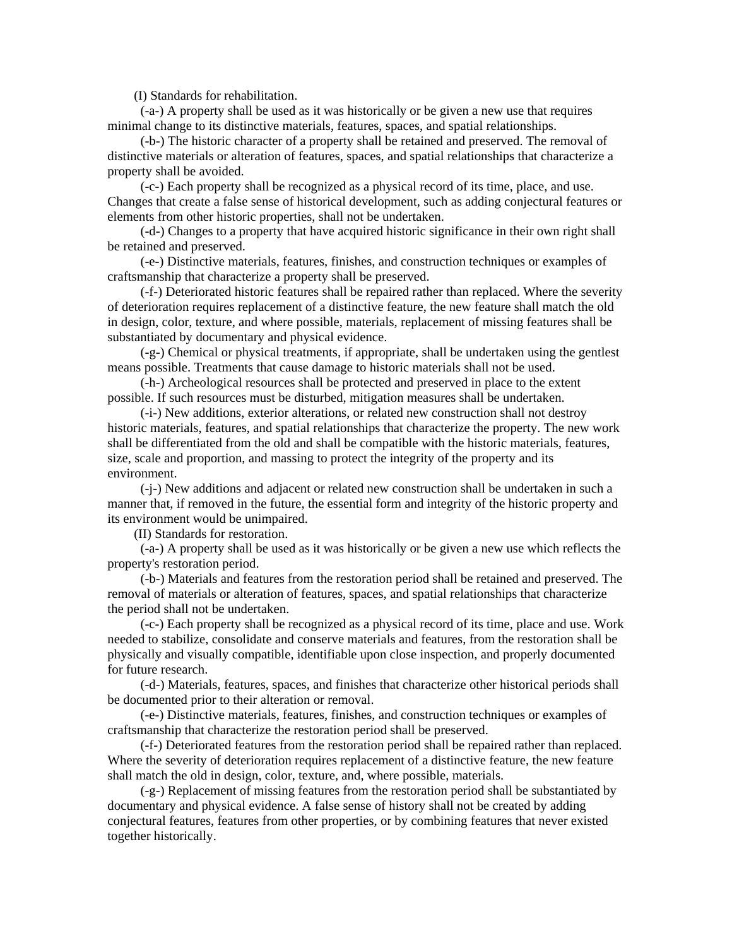(I) Standards for rehabilitation.

 (-a-) A property shall be used as it was historically or be given a new use that requires minimal change to its distinctive materials, features, spaces, and spatial relationships.

 (-b-) The historic character of a property shall be retained and preserved. The removal of distinctive materials or alteration of features, spaces, and spatial relationships that characterize a property shall be avoided.

 (-c-) Each property shall be recognized as a physical record of its time, place, and use. Changes that create a false sense of historical development, such as adding conjectural features or elements from other historic properties, shall not be undertaken.

 (-d-) Changes to a property that have acquired historic significance in their own right shall be retained and preserved.

 (-e-) Distinctive materials, features, finishes, and construction techniques or examples of craftsmanship that characterize a property shall be preserved.

 (-f-) Deteriorated historic features shall be repaired rather than replaced. Where the severity of deterioration requires replacement of a distinctive feature, the new feature shall match the old in design, color, texture, and where possible, materials, replacement of missing features shall be substantiated by documentary and physical evidence.

 (-g-) Chemical or physical treatments, if appropriate, shall be undertaken using the gentlest means possible. Treatments that cause damage to historic materials shall not be used.

 (-h-) Archeological resources shall be protected and preserved in place to the extent possible. If such resources must be disturbed, mitigation measures shall be undertaken.

 (-i-) New additions, exterior alterations, or related new construction shall not destroy historic materials, features, and spatial relationships that characterize the property. The new work shall be differentiated from the old and shall be compatible with the historic materials, features, size, scale and proportion, and massing to protect the integrity of the property and its environment.

 (-j-) New additions and adjacent or related new construction shall be undertaken in such a manner that, if removed in the future, the essential form and integrity of the historic property and its environment would be unimpaired.

(II) Standards for restoration.

 (-a-) A property shall be used as it was historically or be given a new use which reflects the property's restoration period.

 (-b-) Materials and features from the restoration period shall be retained and preserved. The removal of materials or alteration of features, spaces, and spatial relationships that characterize the period shall not be undertaken.

 (-c-) Each property shall be recognized as a physical record of its time, place and use. Work needed to stabilize, consolidate and conserve materials and features, from the restoration shall be physically and visually compatible, identifiable upon close inspection, and properly documented for future research.

 (-d-) Materials, features, spaces, and finishes that characterize other historical periods shall be documented prior to their alteration or removal.

 (-e-) Distinctive materials, features, finishes, and construction techniques or examples of craftsmanship that characterize the restoration period shall be preserved.

 (-f-) Deteriorated features from the restoration period shall be repaired rather than replaced. Where the severity of deterioration requires replacement of a distinctive feature, the new feature shall match the old in design, color, texture, and, where possible, materials.

 (-g-) Replacement of missing features from the restoration period shall be substantiated by documentary and physical evidence. A false sense of history shall not be created by adding conjectural features, features from other properties, or by combining features that never existed together historically.